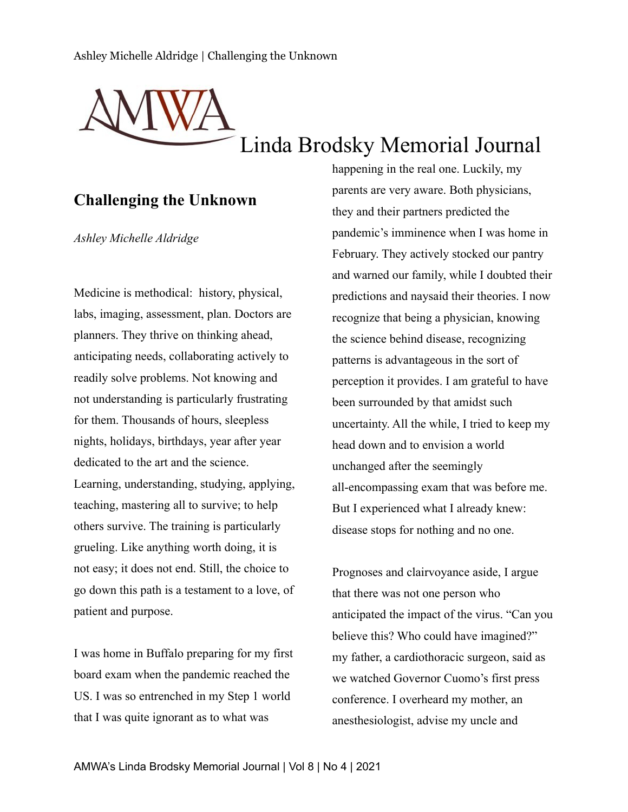

# **Challenging the Unknown**

*Ashley Michelle Aldridge*

Medicine is methodical: history, physical, labs, imaging, assessment, plan. Doctors are planners. They thrive on thinking ahead, anticipating needs, collaborating actively to readily solve problems. Not knowing and not understanding is particularly frustrating for them. Thousands of hours, sleepless nights, holidays, birthdays, year after year dedicated to the art and the science. Learning, understanding, studying, applying, teaching, mastering all to survive; to help others survive. The training is particularly grueling. Like anything worth doing, it is not easy; it does not end. Still, the choice to go down this path is a testament to a love, of patient and purpose.

I was home in Buffalo preparing for my first board exam when the pandemic reached the US. I was so entrenched in my Step 1 world that I was quite ignorant as to what was

happening in the real one. Luckily, my parents are very aware. Both physicians, they and their partners predicted the pandemic's imminence when I was home in February. They actively stocked our pantry and warned our family, while I doubted their predictions and naysaid their theories. I now recognize that being a physician, knowing the science behind disease, recognizing patterns is advantageous in the sort of perception it provides. I am grateful to have been surrounded by that amidst such uncertainty. All the while, I tried to keep my head down and to envision a world unchanged after the seemingly all-encompassing exam that was before me. But I experienced what I already knew: disease stops for nothing and no one.

Prognoses and clairvoyance aside, I argue that there was not one person who anticipated the impact of the virus. "Can you believe this? Who could have imagined?" my father, a cardiothoracic surgeon, said as we watched Governor Cuomo's first press conference. I overheard my mother, an anesthesiologist, advise my uncle and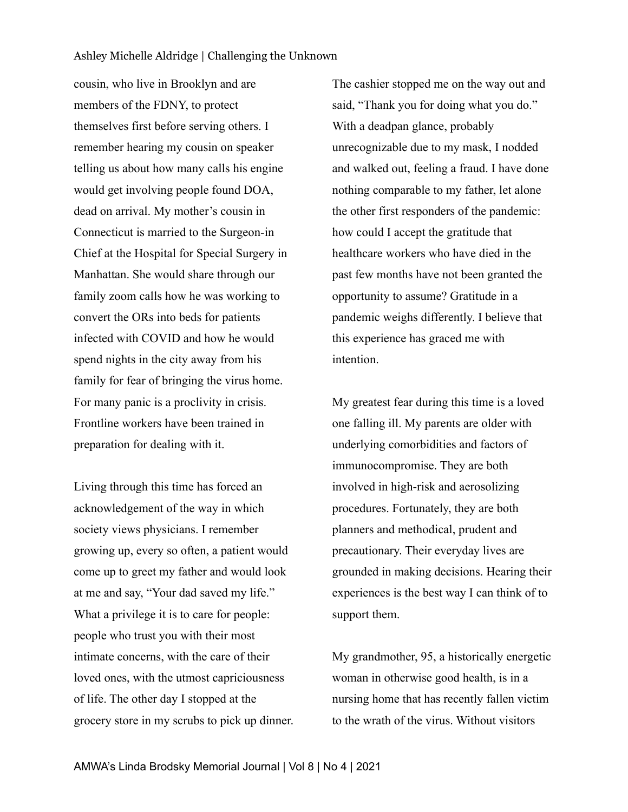#### Ashley Michelle Aldridge | Challenging the Unknown

cousin, who live in Brooklyn and are members of the FDNY, to protect themselves first before serving others. I remember hearing my cousin on speaker telling us about how many calls his engine would get involving people found DOA, dead on arrival. My mother's cousin in Connecticut is married to the Surgeon-in Chief at the Hospital for Special Surgery in Manhattan. She would share through our family zoom calls how he was working to convert the ORs into beds for patients infected with COVID and how he would spend nights in the city away from his family for fear of bringing the virus home. For many panic is a proclivity in crisis. Frontline workers have been trained in preparation for dealing with it.

Living through this time has forced an acknowledgement of the way in which society views physicians. I remember growing up, every so often, a patient would come up to greet my father and would look at me and say, "Your dad saved my life." What a privilege it is to care for people: people who trust you with their most intimate concerns, with the care of their loved ones, with the utmost capriciousness of life. The other day I stopped at the grocery store in my scrubs to pick up dinner. The cashier stopped me on the way out and said, "Thank you for doing what you do." With a deadpan glance, probably unrecognizable due to my mask, I nodded and walked out, feeling a fraud. I have done nothing comparable to my father, let alone the other first responders of the pandemic: how could I accept the gratitude that healthcare workers who have died in the past few months have not been granted the opportunity to assume? Gratitude in a pandemic weighs differently. I believe that this experience has graced me with intention.

My greatest fear during this time is a loved one falling ill. My parents are older with underlying comorbidities and factors of immunocompromise. They are both involved in high-risk and aerosolizing procedures. Fortunately, they are both planners and methodical, prudent and precautionary. Their everyday lives are grounded in making decisions. Hearing their experiences is the best way I can think of to support them.

My grandmother, 95, a historically energetic woman in otherwise good health, is in a nursing home that has recently fallen victim to the wrath of the virus. Without visitors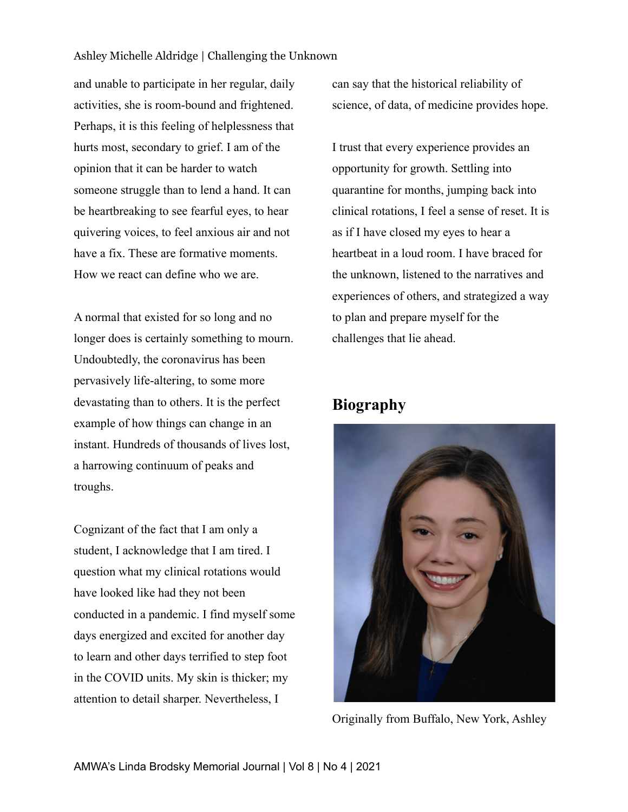## Ashley Michelle Aldridge | Challenging the Unknown

and unable to participate in her regular, daily activities, she is room-bound and frightened. Perhaps, it is this feeling of helplessness that hurts most, secondary to grief. I am of the opinion that it can be harder to watch someone struggle than to lend a hand. It can be heartbreaking to see fearful eyes, to hear quivering voices, to feel anxious air and not have a fix. These are formative moments. How we react can define who we are.

A normal that existed for so long and no longer does is certainly something to mourn. Undoubtedly, the coronavirus has been pervasively life-altering, to some more devastating than to others. It is the perfect example of how things can change in an instant. Hundreds of thousands of lives lost, a harrowing continuum of peaks and troughs.

Cognizant of the fact that I am only a student, I acknowledge that I am tired. I question what my clinical rotations would have looked like had they not been conducted in a pandemic. I find myself some days energized and excited for another day to learn and other days terrified to step foot in the COVID units. My skin is thicker; my attention to detail sharper. Nevertheless, I

can say that the historical reliability of science, of data, of medicine provides hope.

I trust that every experience provides an opportunity for growth. Settling into quarantine for months, jumping back into clinical rotations, I feel a sense of reset. It is as if I have closed my eyes to hear a heartbeat in a loud room. I have braced for the unknown, listened to the narratives and experiences of others, and strategized a way to plan and prepare myself for the challenges that lie ahead.

# **Biography**



Originally from Buffalo, New York, Ashley